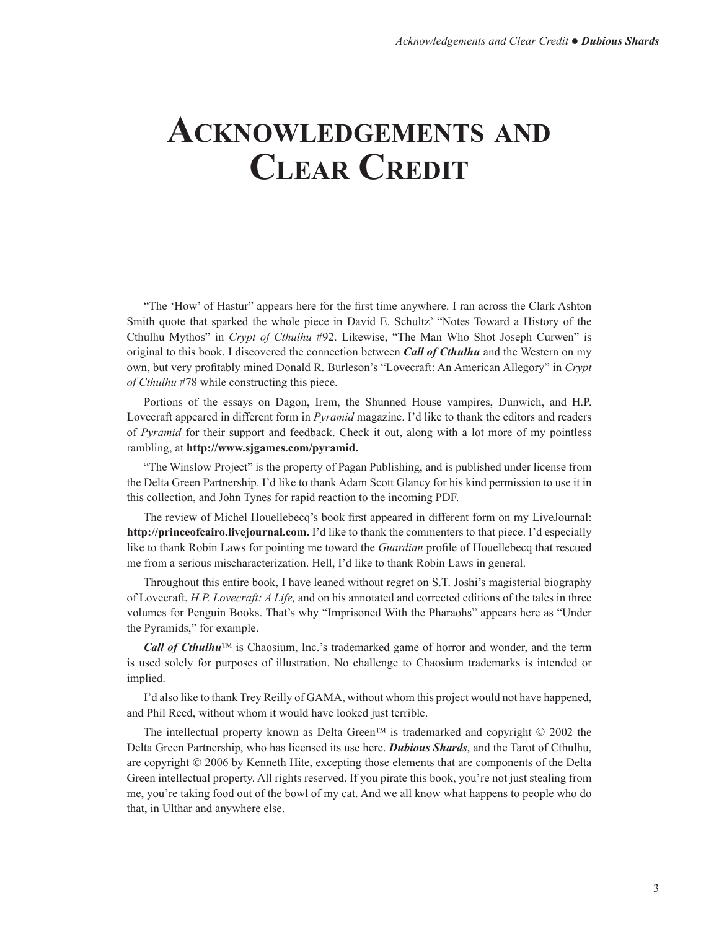## **Acknowledgements and Clear Credit**

"The 'How' of Hastur" appears here for the first time anywhere. I ran across the Clark Ashton Smith quote that sparked the whole piece in David E. Schultz' "Notes Toward a History of the Cthulhu Mythos" in *Crypt of Cthulhu* #92. Likewise, "The Man Who Shot Joseph Curwen" is original to this book. I discovered the connection between *Call of Cthulhu* and the Western on my own, but very profitably mined Donald R. Burleson's "Lovecraft: An American Allegory" in *Crypt of Cthulhu* #78 while constructing this piece.

Portions of the essays on Dagon, Irem, the Shunned House vampires, Dunwich, and H.P. Lovecraft appeared in different form in *Pyramid* magazine. I'd like to thank the editors and readers of *Pyramid* for their support and feedback. Check it out, along with a lot more of my pointless rambling, at **http://www.sjgames.com/pyramid.**

"The Winslow Project" is the property of Pagan Publishing, and is published under license from the Delta Green Partnership. I'd like to thank Adam Scott Glancy for his kind permission to use it in this collection, and John Tynes for rapid reaction to the incoming PDF.

The review of Michel Houellebecq's book first appeared in different form on my LiveJournal: **http://princeofcairo.livejournal.com.** I'd like to thank the commenters to that piece. I'd especially like to thank Robin Laws for pointing me toward the *Guardian* profile of Houellebecq that rescued me from a serious mischaracterization. Hell, I'd like to thank Robin Laws in general.

Throughout this entire book, I have leaned without regret on S.T. Joshi's magisterial biography of Lovecraft, *H.P. Lovecraft: A Life,* and on his annotated and corrected editions of the tales in three volumes for Penguin Books. That's why "Imprisoned With the Pharaohs" appears here as "Under the Pyramids," for example.

*Call of Cthulhu*<sup>™</sup> is Chaosium, Inc.'s trademarked game of horror and wonder, and the term is used solely for purposes of illustration. No challenge to Chaosium trademarks is intended or implied.

I'd also like to thank Trey Reilly of GAMA, without whom this project would not have happened, and Phil Reed, without whom it would have looked just terrible.

The intellectual property known as Delta Green<sup>TM</sup> is trademarked and copyright  $\heartsuit$  2002 the Delta Green Partnership, who has licensed its use here. *Dubious Shards*, and the Tarot of Cthulhu, are copyright  $\odot$  2006 by Kenneth Hite, excepting those elements that are components of the Delta Green intellectual property. All rights reserved. If you pirate this book, you're not just stealing from me, you're taking food out of the bowl of my cat. And we all know what happens to people who do that, in Ulthar and anywhere else.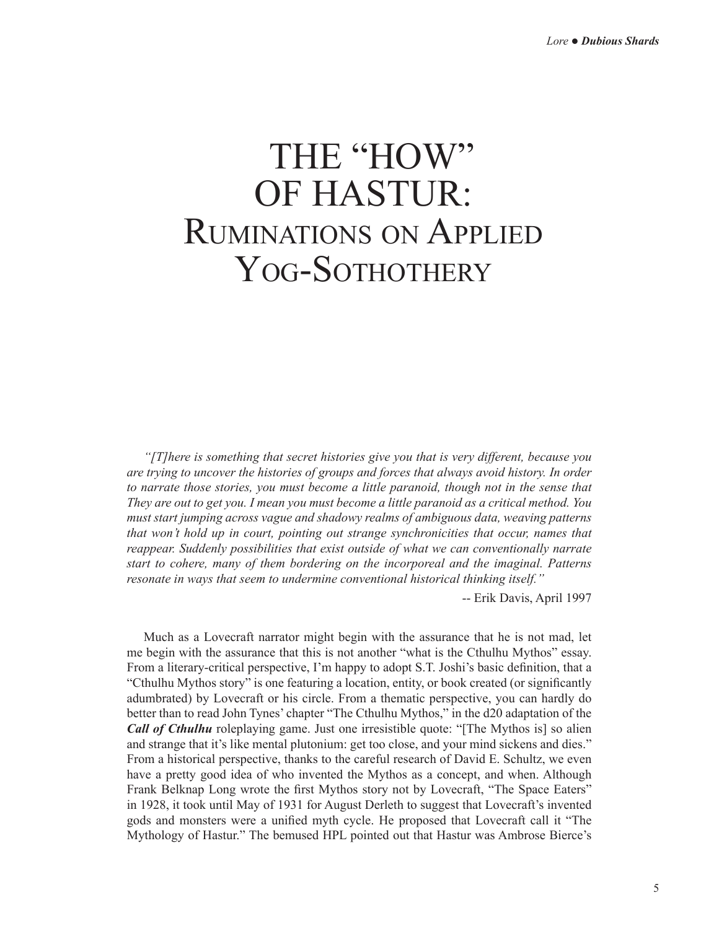## THE "HOW" OF HASTUR: Ruminations on Applied YOG-SOTHOTHERY

*"[T]here is something that secret histories give you that is very different, because you are trying to uncover the histories of groups and forces that always avoid history. In order to narrate those stories, you must become a little paranoid, though not in the sense that They are out to get you. I mean you must become a little paranoid as a critical method. You must start jumping across vague and shadowy realms of ambiguous data, weaving patterns that won't hold up in court, pointing out strange synchronicities that occur, names that reappear. Suddenly possibilities that exist outside of what we can conventionally narrate start to cohere, many of them bordering on the incorporeal and the imaginal. Patterns resonate in ways that seem to undermine conventional historical thinking itself."*

-- Erik Davis, April 1997

Much as a Lovecraft narrator might begin with the assurance that he is not mad, let me begin with the assurance that this is not another "what is the Cthulhu Mythos" essay. From a literary-critical perspective, I'm happy to adopt S.T. Joshi's basic definition, that a "Cthulhu Mythos story" is one featuring a location, entity, or book created (or significantly adumbrated) by Lovecraft or his circle. From a thematic perspective, you can hardly do better than to read John Tynes' chapter "The Cthulhu Mythos," in the d20 adaptation of the *Call of Cthulhu* roleplaying game. Just one irresistible quote: "[The Mythos is] so alien and strange that it's like mental plutonium: get too close, and your mind sickens and dies." From a historical perspective, thanks to the careful research of David E. Schultz, we even have a pretty good idea of who invented the Mythos as a concept, and when. Although Frank Belknap Long wrote the first Mythos story not by Lovecraft, "The Space Eaters" in 1928, it took until May of 1931 for August Derleth to suggest that Lovecraft's invented gods and monsters were a unified myth cycle. He proposed that Lovecraft call it "The Mythology of Hastur." The bemused HPL pointed out that Hastur was Ambrose Bierce's